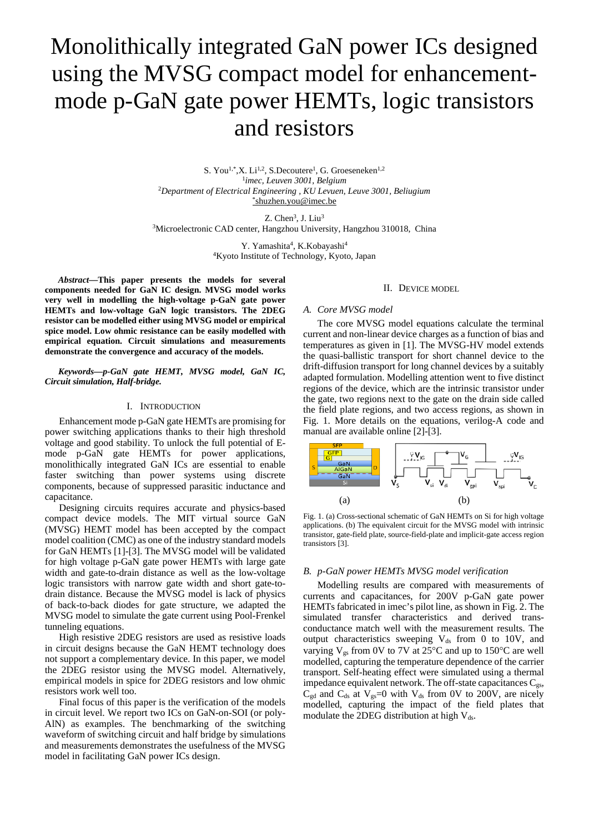# Monolithically integrated GaN power ICs designed using the MVSG compact model for enhancementmode p-GaN gate power HEMTs, logic transistors and resistors

S. You<sup>1,\*</sup>,X. Li<sup>1,2</sup>, S.Decoutere<sup>1</sup>, G. Groeseneken<sup>1,2</sup> 1*imec, Leuven 3001, Belgium* <sup>2</sup>*Department of Electrical Engineering , KU Levuen, Leuve 3001, Beliugium* [\\*shuzhen.you@imec.be](mailto:*shuzhen.you@imec.be)

 $Z$ . Chen<sup>3</sup>, J. Liu<sup>3</sup> <sup>3</sup>Microelectronic CAD center, Hangzhou University, Hangzhou 310018, China

> Y. Yamashita<sup>4</sup>, K.Kobayashi<sup>4</sup> 4Kyoto Institute of Technology, Kyoto, Japan

*Abstract***—This paper presents the models for several components needed for GaN IC design. MVSG model works very well in modelling the high-voltage p-GaN gate power HEMTs and low-voltage GaN logic transistors. The 2DEG resistor can be modelled either using MVSG model or empirical spice model. Low ohmic resistance can be easily modelled with empirical equation. Circuit simulations and measurements demonstrate the convergence and accuracy of the models.**

*Keywords—p-GaN gate HEMT, MVSG model, GaN IC, Circuit simulation, Half-bridge.*

## I. INTRODUCTION

Enhancement mode p-GaN gate HEMTs are promising for power switching applications thanks to their high threshold voltage and good stability. To unlock the full potential of Emode p-GaN gate HEMTs for power applications, monolithically integrated GaN ICs are essential to enable faster switching than power systems using discrete components, because of suppressed parasitic inductance and capacitance.

Designing circuits requires accurate and physics-based compact device models. The MIT virtual source GaN (MVSG) HEMT model has been accepted by the compact model coalition (CMC) as one of the industry standard models for GaN HEMTs [\[1\]-](#page-3-0)[\[3\].](#page-3-1) The MVSG model will be validated for high voltage p-GaN gate power HEMTs with large gate width and gate-to-drain distance as well as the low-voltage logic transistors with narrow gate width and short gate-todrain distance. Because the MVSG model is lack of physics of back-to-back diodes for gate structure, we adapted the MVSG model to simulate the gate current using Pool-Frenkel tunneling equations.

High resistive 2DEG resistors are used as resistive loads in circuit designs because the GaN HEMT technology does not support a complementary device. In this paper, we model the 2DEG resistor using the MVSG model. Alternatively, empirical models in spice for 2DEG resistors and low ohmic resistors work well too.

Final focus of this paper is the verification of the models in circuit level. We report two ICs on GaN-on-SOI (or poly-AlN) as examples. The benchmarking of the switching waveform of switching circuit and half bridge by simulations and measurements demonstrates the usefulness of the MVSG model in facilitating GaN power ICs design.

## II. DEVICE MODEL

## *A. Core MVSG model*

The core MVSG model equations calculate the terminal current and non-linear device charges as a function of bias and temperatures as given in [\[1\].](#page-3-0) The MVSG-HV model extends the quasi-ballistic transport for short channel device to the drift-diffusion transport for long channel devices by a suitably adapted formulation. Modelling attention went to five distinct regions of the device, which are the intrinsic transistor under the gate, two regions next to the gate on the drain side called the field plate regions, and two access regions, as shown in [Fig. 1.](#page-0-0) More details on the equations, verilog-A code and manual are available online [\[2\]-](#page-3-2)[\[3\].](#page-3-1)



<span id="page-0-0"></span>Fig. 1. (a) Cross-sectional schematic of GaN HEMTs on Si for high voltage applications. (b) The equivalent circuit for the MVSG model with intrinsic transistor, gate-field plate, source-field-plate and implicit-gate access region transistors [\[3\].](#page-3-1) 

## *B. p-GaN power HEMTs MVSG model verification*

Modelling results are compared with measurements of currents and capacitances, for 200V p-GaN gate power HEMTs fabricated in imec's pilot line, as shown in [Fig. 2.](#page-1-0) The simulated transfer characteristics and derived transconductance match well with the measurement results. The output characteristics sweeping  $V_{ds}$  from 0 to 10V, and varying  $V_{gs}$  from 0V to 7V at 25°C and up to 150°C are well modelled, capturing the temperature dependence of the carrier transport. Self-heating effect were simulated using a thermal impedance equivalent network. The off-state capacitances  $C_{gs}$ ,  $C_{gd}$  and  $C_{ds}$  at  $V_{gs}=0$  with  $V_{ds}$  from 0V to 200V, are nicely modelled, capturing the impact of the field plates that modulate the 2DEG distribution at high  $V_{ds}$ .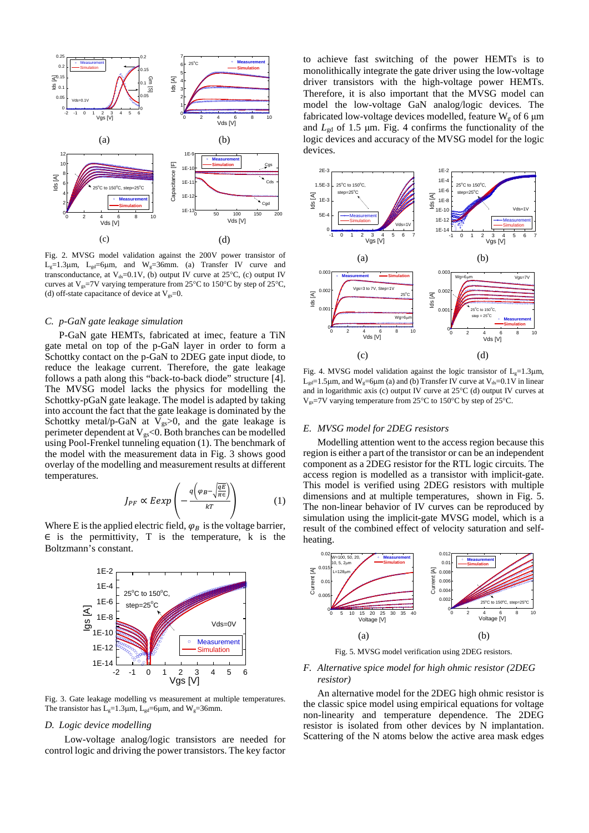

<span id="page-1-0"></span>Fig. 2. MVSG model validation against the 200V power transistor of  $L_g=1.3\mu$ m,  $L_{gd}=6\mu$ m, and  $W_g=36$ mm. (a) Transfer IV curve and transconductance, at  $V_{ds}=0.1V$ , (b) output IV curve at 25°C, (c) output IV curves at V<sub>gs</sub>=7V varying temperature from 25°C to 150°C by step of 25°C, (d) off-state capacitance of device at  $V_{gs}=0$ .

## *C. p-GaN gate leakage simulation*

P-GaN gate HEMTs, fabricated at imec, feature a TiN gate metal on top of the p-GaN layer in order to form a Schottky contact on the p-GaN to 2DEG gate input diode, to reduce the leakage current. Therefore, the gate leakage follows a path along this "back-to-back diode" structure [\[4\].](#page-3-3) The MVSG model lacks the physics for modelling the Schottky-pGaN gate leakage. The model is adapted by taking into account the fact that the gate leakage is dominated by the Schottky metal/p-GaN at  $V_{gs} > 0$ , and the gate leakage is perimeter dependent at  $V_{gs} < 0$ . Both branches can be modelled using Pool-Frenkel tunneling equation (1). The benchmark of the model with the measurement data in [Fig. 3](#page-1-1) shows good overlay of the modelling and measurement results at different temperatures.

$$
J_{PF} \propto E \exp\left(-\frac{q\left(\varphi_B - \sqrt{\frac{qE}{\pi \epsilon}}\right)}{kT}\right) \tag{1}
$$

Where E is the applied electric field,  $\varphi_B$  is the voltage barrier,  $\epsilon$  is the permittivity, T is the temperature, k is the Boltzmann's constant.



<span id="page-1-1"></span>Fig. 3. Gate leakage modelling vs measurement at multiple temperatures. The transistor has  $L_g=1.3\mu$ m,  $L_{gd}=6\mu$ m, and W<sub>g</sub>=36mm.

#### *D. Logic device modelling*

Low-voltage analog/logic transistors are needed for control logic and driving the power transistors. The key factor

to achieve fast switching of the power HEMTs is to monolithically integrate the gate driver using the low-voltage driver transistors with the high-voltage power HEMTs. Therefore, it is also important that the MVSG model can model the low-voltage GaN analog/logic devices. The fabricated low-voltage devices modelled, feature  $W_g$  of 6  $\mu$ m and *L*gd of 1.5 μm. [Fig. 4](#page-1-2) confirms the functionality of the logic devices and accuracy of the MVSG model for the logic devices.



<span id="page-1-2"></span>Fig. 4. MVSG model validation against the logic transistor of  $L_g=1.3 \mu m$ ,  $L_{\text{gd}}=1.5\mu$ m, and W<sub>s</sub>=6 $\mu$ m (a) and (b) Transfer IV curve at V<sub>ds</sub>=0.1V in linear and in logarithmic axis (c) output IV curve at 25°C (d) output IV curves at Vgs=7V varying temperature from 25°C to 150°C by step of 25°C.

# *E. MVSG model for 2DEG resistors*

Modelling attention went to the access region because this region is either a part of the transistor or can be an independent component as a 2DEG resistor for the RTL logic circuits. The access region is modelled as a transistor with implicit-gate. This model is verified using 2DEG resistors with multiple dimensions and at multiple temperatures, shown in [Fig. 5.](#page-1-3) The non-linear behavior of IV curves can be reproduced by simulation using the implicit-gate MVSG model, which is a result of the combined effect of velocity saturation and selfheating.



Fig. 5. MVSG model verification using 2DEG resistors.

# <span id="page-1-3"></span>*F. Alternative spice model for high ohmic resistor (2DEG resistor)*

An alternative model for the 2DEG high ohmic resistor is the classic spice model using empirical equations for voltage non-linearity and temperature dependence. The 2DEG resistor is isolated from other devices by N implantation. Scattering of the N atoms below the active area mask edges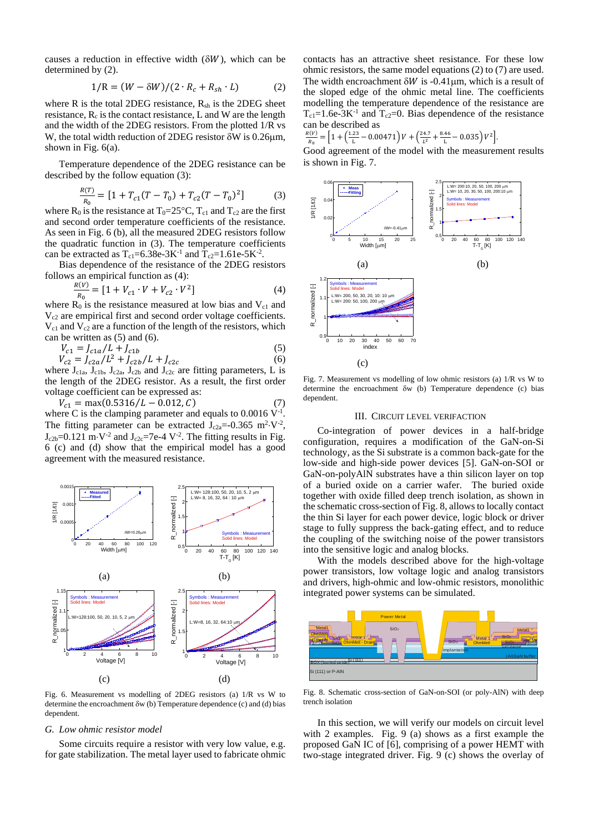causes a reduction in effective width ( $\delta W$ ), which can be determined by (2).

$$
1/R = (W - \delta W)/(2 \cdot R_c + R_{sh} \cdot L) \tag{2}
$$

where R is the total 2DEG resistance,  $R_{sh}$  is the 2DEG sheet resistance,  $R_c$  is the contact resistance, L and W are the length and the width of the 2DEG resistors. From the plotted 1/R vs W, the total width reduction of 2DEG resistor δW is 0.26µm, shown in [Fig. 6\(](#page-2-0)a).

Temperature dependence of the 2DEG resistance can be described by the follow equation (3):

$$
\frac{R(T)}{R_0} = [1 + T_{c1}(T - T_0) + T_{c2}(T - T_0)^2]
$$
(3)

where R<sub>0</sub> is the resistance at T<sub>0</sub>=25°C, T<sub>c1</sub> and T<sub>c2</sub> are the first and second order temperature coefficients of the resistance. As seen in [Fig. 6](#page-2-0) (b), all the measured 2DEG resistors follow the quadratic function in (3). The temperature coefficients can be extracted as  $T_{c1} = 6.38e-3K^{-1}$  and  $T_{c2} = 1.61e-5K^{-2}$ .

Bias dependence of the resistance of the 2DEG resistors follows an empirical function as (4):

$$
\frac{R(V)}{R_0} = [1 + V_{c1} \cdot V + V_{c2} \cdot V^2]
$$
\n(4)

where  $R_0$  is the resistance measured at low bias and  $V_{c1}$  and  $V_{c2}$  are empirical first and second order voltage coefficients.  $V_{c1}$  and  $V_{c2}$  are a function of the length of the resistors, which can be written as (5) and (6).

$$
V_{c1} = J_{c1a}/L + J_{c1b}
$$
\n
$$
V_{c1} = I_{c1a}/L^2 + I_{c1b}/L + I_{c1c}
$$
\n(5)

 $V_{c2} = J_{c2a}/L^2 + J_{c2b}/L + J_{c2c}$  (6) where  $J_{c1a}$ ,  $J_{c1b}$ ,  $J_{c2a}$ ,  $J_{c2b}$  and  $J_{c2c}$  are fitting parameters, L is the length of the 2DEG resistor. As a result, the first order voltage coefficient can be expressed as:

$$
V_{c1} = \max(0.5316/L - 0.012, C) \tag{7}
$$

where C is the clamping parameter and equals to  $0.0016 \, \mathrm{V}^{-1}$ . The fitting parameter can be extracted  $J_{c2a} = -0.365$  m<sup>2</sup>·V<sup>-2</sup>,  $J_{c2b}$ =0.121 m⋅V<sup>-2</sup> and  $J_{c2c}$ =7e-4 V<sup>-2</sup>. The fitting results in Fig. [6](#page-2-0) (c) and (d) show that the empirical model has a good agreement with the measured resistance.



<span id="page-2-0"></span>Fig. 6. Measurement vs modelling of 2DEG resistors (a) 1/R vs W to determine the encroachment δw (b) Temperature dependence (c) and (d) bias dependent.

## *G. Low ohmic resistor model*

Some circuits require a resistor with very low value, e.g. for gate stabilization. The metal layer used to fabricate ohmic contacts has an attractive sheet resistance. For these low ohmic resistors, the same model equations (2) to (7) are used. The width encroachment  $\delta W$  is -0.41µm, which is a result of the sloped edge of the ohmic metal line. The coefficients modelling the temperature dependence of the resistance are  $T_{c1}=1.6e-3K^{-1}$  and  $T_{c2}=0$ . Bias dependence of the resistance can be described as

$$
\frac{R(V)}{R_0} = \left[1 + \left(\frac{1.23}{\text{L}} - 0.00471\right)V + \left(\frac{24.7}{\text{L}^2} + \frac{8.46}{\text{L}} - 0.035\right)V^2\right].
$$

 $\begin{array}{c} \begin{array}{c} \text{R}_0 \\ \text{Good agreement of the model with the measurement results} \end{array} \end{array}$ is shown i[n Fig. 7.](#page-2-1)



(c)

<span id="page-2-1"></span>Fig. 7. Measurement vs modelling of low ohmic resistors (a) 1/R vs W to determine the encroachment δw (b) Temperature dependence (c) bias dependent.

## III. CIRCUIT LEVEL VERIFACTION

Co-integration of power devices in a half-bridge configuration, requires a modification of the GaN-on-Si technology, as the Si substrate is a common back-gate for the low-side and high-side power devices [5]. GaN-on-SOI or GaN-on-polyAlN substrates have a thin silicon layer on top of a buried oxide on a carrier wafer. The buried oxide together with oxide filled deep trench isolation, as shown in the schematic cross-section of Fig. 8, allows to locally contact the thin Si layer for each power device, logic block or driver stage to fully suppress the back-gating effect, and to reduce the coupling of the switching noise of the power transistors into the sensitive logic and analog blocks.

With the models described above for the high-voltage power transistors, low voltage logic and analog transistors and drivers, high-ohmic and low-ohmic resistors, monolithic integrated power systems can be simulated.



Fig. 8. Schematic cross-section of GaN-on-SOI (or poly-AlN) with deep trench isolation

In this section, we will verify our models on circuit level with 2 examples. [Fig. 9](#page-3-4) (a) shows as a first example the proposed GaN IC of [\[6\],](#page-3-5) comprising of a power HEMT with two-stage integrated driver. [Fig. 9](#page-3-4) (c) shows the overlay of